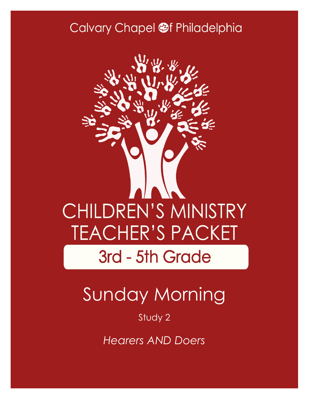### Calvary Chapel @f Philadelphia



# Sunday Morning

#### Study 2

*Hearers AND Doers*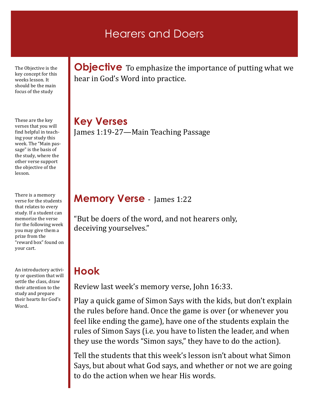### Hearers and Doers

The Objective is the key concept for this weeks lesson. It should be the main focus of the study

These are the key verses that you will find helpful in teaching your study this week. The "Main passage" is the basis of the study, where the other verse support the objective of the lesson.

There is a memory verse for the students that relates to every study. If a student can memorize the verse for the following week you may give them a prize from the "reward box" found on your cart.

An introductory activity or question that will settle the class, draw their attention to the study and prepare their hearts for God's Word.

**Objective** To emphasize the importance of putting what we hear in God's Word into practice.

**Key Verses** James 1:19-27—Main Teaching Passage

#### **Memory Verse** - James 1:22

"But be doers of the word, and not hearers only, deceiving yourselves."

### **Hook**

Review last week's memory verse, John 16:33.

Play a quick game of Simon Says with the kids, but don't explain the rules before hand. Once the game is over (or whenever you feel like ending the game), have one of the students explain the rules of Simon Says (i.e. you have to listen the leader, and when they use the words "Simon says," they have to do the action).

Tell the students that this week's lesson isn't about what Simon Says, but about what God says, and whether or not we are going to do the action when we hear His words.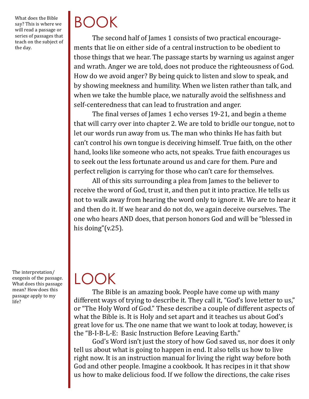What does the Bible say? This is where we will read a passage or series of passages that teach on the subject of the day.

BOOK

The second half of James 1 consists of two practical encouragements that lie on either side of a central instruction to be obedient to those things that we hear. The passage starts by warning us against anger and wrath. Anger we are told, does not produce the righteousness of God. How do we avoid anger? By being quick to listen and slow to speak, and by showing meekness and humility. When we listen rather than talk, and when we take the humble place, we naturally avoid the selfishness and self-centeredness that can lead to frustration and anger.

The final verses of James 1 echo verses 19-21, and begin a theme that will carry over into chapter 2. We are told to bridle our tongue, not to let our words run away from us. The man who thinks He has faith but can't control his own tongue is deceiving himself. True faith, on the other hand, looks like someone who acts, not speaks. True faith encourages us to seek out the less fortunate around us and care for them. Pure and perfect religion is carrying for those who can't care for themselves.

All of this sits surrounding a plea from James to the believer to receive the word of God, trust it, and then put it into practice. He tells us not to walk away from hearing the word only to ignore it. We are to hear it and then do it. If we hear and do not do, we again deceive ourselves. The one who hears AND does, that person honors God and will be "blessed in his doing"(v.25).

The interpretation/ exegesis of the passage. What does this passage mean? How does this passage apply to my life?

### LOOK

The Bible is an amazing book. People have come up with many different ways of trying to describe it. They call it, "God's love letter to us," or "The Holy Word of God." These describe a couple of different aspects of what the Bible is. It is Holy and set apart and it teaches us about God's great love for us. The one name that we want to look at today, however, is the "B-I-B-L-E: Basic Instruction Before Leaving Earth."

God's Word isn't just the story of how God saved us, nor does it only tell us about what is going to happen in end. It also tells us how to live right now. It is an instruction manual for living the right way before both God and other people. Imagine a cookbook. It has recipes in it that show us how to make delicious food. If we follow the directions, the cake rises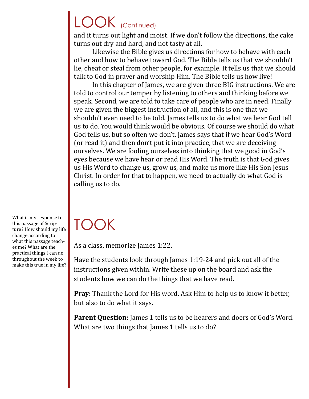## LOOK (Continued)

and it turns out light and moist. If we don't follow the directions, the cake turns out dry and hard, and not tasty at all.

Likewise the Bible gives us directions for how to behave with each other and how to behave toward God. The Bible tells us that we shouldn't lie, cheat or steal from other people, for example. It tells us that we should talk to God in prayer and worship Him. The Bible tells us how live!

In this chapter of James, we are given three BIG instructions. We are told to control our temper by listening to others and thinking before we speak. Second, we are told to take care of people who are in need. Finally we are given the biggest instruction of all, and this is one that we shouldn't even need to be told. James tells us to do what we hear God tell us to do. You would think would be obvious. Of course we should do what God tells us, but so often we don't. James says that if we hear God's Word (or read it) and then don't put it into practice, that we are deceiving ourselves. We are fooling ourselves into thinking that we good in God's eyes because we have hear or read His Word. The truth is that God gives us His Word to change us, grow us, and make us more like His Son Jesus Christ. In order for that to happen, we need to actually do what God is calling us to do.

What is my response to this passage of Scripture? How should my life change according to what this passage teaches me? What are the practical things I can do throughout the week to make this true in my life?

## TOOK

As a class, memorize James 1:22.

Have the students look through James 1:19-24 and pick out all of the instructions given within. Write these up on the board and ask the students how we can do the things that we have read.

**Pray:** Thank the Lord for His word. Ask Him to help us to know it better, but also to do what it says.

**Parent Question:** James 1 tells us to be hearers and doers of God's Word. What are two things that James 1 tells us to do?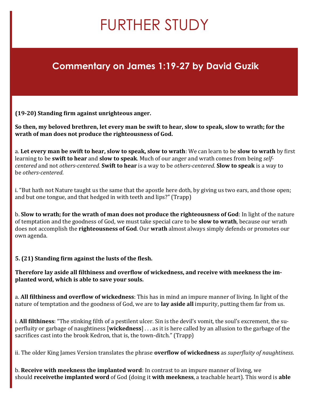### FURTHER STUDY

#### **Commentary on James 1:19-27 by David Guzik**

**(19-20) Standing firm against unrighteous anger.**

**So then, my beloved brethren, let every man be swift to hear, slow to speak, slow to wrath; for the wrath of man does not produce the righteousness of God.**

a. **Let every man be swift to hear, slow to speak, slow to wrath**: We can learn to be **slow to wrath** by first learning to be **swift to hear** and **slow to speak**. Much of our anger and wrath comes from being *selfcentered* and not *others-centered*. **Swift to hear** is a way to be *others-centered*. **Slow to speak** is a way to be *others-centered*.

i. "But hath not Nature taught us the same that the apostle here doth, by giving us two ears, and those open; and but one tongue, and that hedged in with teeth and lips?" (Trapp)

b. **Slow to wrath; for the wrath of man does not produce the righteousness of God**: In light of the nature of temptation and the goodness of God, we must take special care to be **slow to wrath**, because our wrath does not accomplish the **righteousness of God**. Our **wrath** almost always simply defends or promotes our own agenda.

**5. (21) Standing firm against the lusts of the flesh.**

**Therefore lay aside all filthiness and overflow of wickedness, and receive with meekness the implanted word, which is able to save your souls.**

a. **All filthiness and overflow of wickedness**: This has in mind an impure manner of living. In light of the nature of temptation and the goodness of God, we are to **lay aside all** impurity, putting them far from us.

i. **All filthiness**: "The stinking filth of a pestilent ulcer. Sin is the devil's vomit, the soul's excrement, the superfluity or garbage of naughtiness [**wickedness**] . . . as it is here called by an allusion to the garbage of the sacrifices cast into the brook Kedron, that is, the town-ditch." (Trapp)

ii. The older King James Version translates the phrase **overflow of wickedness** as *superfluity of naughtiness*.

b. **Receive with meekness the implanted word**: In contrast to an impure manner of living, we should **receivethe implanted word** of God (doing it **with meekness**, a teachable heart). This word is **able**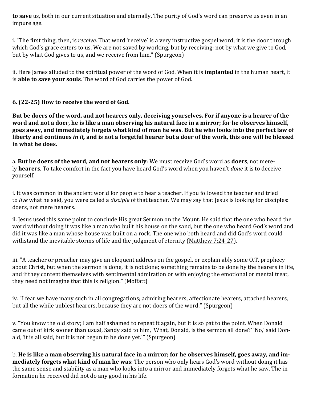**to save** us, both in our current situation and eternally. The purity of God's word can preserve us even in an impure age.

i. "The first thing, then, is *receive*. That word 'receive' is a very instructive gospel word; it is the door through which God's grace enters to us. We are not saved by working, but by receiving; not by what we give to God, but by what God gives to us, and we receive from him." (Spurgeon)

ii. Here James alluded to the spiritual power of the word of God. When it is **implanted** in the human heart, it is **able to save your souls**. The word of God carries the power of God.

#### **6. (22-25) How to receive the word of God.**

**But be doers of the word, and not hearers only, deceiving yourselves. For if anyone is a hearer of the word and not a doer, he is like a man observing his natural face in a mirror; for he observes himself, goes away, and immediately forgets what kind of man he was. But he who looks into the perfect law of liberty and continues** *in it,* **and is not a forgetful hearer but a doer of the work, this one will be blessed in what he does.**

a. **But be doers of the word, and not hearers only**: We must receive God's word as **doers**, not merely **hearers**. To take comfort in the fact you have heard God's word when you haven't *done* it is to deceive yourself.

i. It was common in the ancient world for people to hear a teacher. If you followed the teacher and tried to *live* what he said, you were called a *disciple* of that teacher. We may say that Jesus is looking for disciples: doers, not mere hearers.

ii. Jesus used this same point to conclude His great Sermon on the Mount. He said that the one who heard the word without doing it was like a man who built his house on the sand, but the one who heard God's word and did it was like a man whose house was built on a rock. The one who both heard and did God's word could withstand the inevitable storms of life and the judgment of eternity ([Matthew 7:24](https://biblia.com/bible/nkjv/Matt%207.24-27)-27).

iii. "A teacher or preacher may give an eloquent address on the gospel, or explain ably some O.T. prophecy about Christ, but when the sermon is done, it is not done; something remains to be done by the hearers in life, and if they content themselves with sentimental admiration or with enjoying the emotional or mental treat, they need not imagine that this is religion." (Moffatt)

iv. "I fear we have many such in all congregations; admiring hearers, affectionate hearers, attached hearers, but all the while unblest hearers, because they are not doers of the word." (Spurgeon)

v. "You know the old story; I am half ashamed to repeat it again, but it is so pat to the point. When Donald came out of kirk sooner than usual, Sandy said to him, 'What, Donald, is the sermon all done?' 'No,' said Donald, 'it is all said, but it is not begun to be done yet.'" (Spurgeon)

b. **He is like a man observing his natural face in a mirror; for he observes himself, goes away, and immediately forgets what kind of man he was**: The person who only hears God's word without doing it has the same sense and stability as a man who looks into a mirror and immediately forgets what he saw. The information he received did not do any good in his life.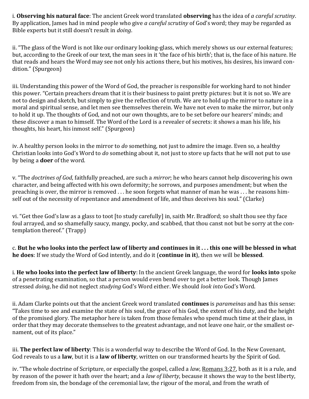i. **Observing his natural face**: The ancient Greek word translated **observing** has the idea of *a careful scrutiny*. By application, James had in mind people who give *a careful scrutiny* of God's word; they may be regarded as Bible experts but it still doesn't result in *doing*.

ii. "The glass of the Word is not like our ordinary looking-glass, which merely shows us our external features; but, according to the Greek of our text, the man sees in it 'the face of his birth'; that is, the face of his nature. He that reads and hears the Word may see not only his actions there, but his motives, his desires, his inward condition." (Spurgeon)

iii. Understanding this power of the Word of God, the preacher is responsible for working hard to not hinder this power. "Certain preachers dream that it is their business to paint pretty pictures: but it is not so. We are not to design and sketch, but simply to give the reflection of truth. We are to hold up the mirror to nature in a moral and spiritual sense, and let men see themselves therein. We have not even to make the mirror, but only to hold it up. The thoughts of God, and not our own thoughts, are to be set before our hearers' minds; and these discover a man to himself. The Word of the Lord is a revealer of secrets: it shows a man his life, his thoughts, his heart, his inmost self." (Spurgeon)

iv. A healthy person looks in the mirror to *do* something, not just to admire the image. Even so, a healthy Christian looks into God's Word to *do* something about it, not just to store up facts that he will not put to use by being a **doer** of the word.

v. "The *doctrines of God*, faithfully preached, are such a *mirror*; he who hears cannot help discovering his own character, and being affected with his own deformity; he sorrows, and purposes amendment; but when the preaching is over, the mirror is removed . . . he soon forgets what manner of man he was . . . he reasons himself out of the necessity of repentance and amendment of life, and thus deceives his soul." (Clarke)

vi. "Get thee God's law as a glass to toot [to study carefully] in, saith Mr. Bradford; so shalt thou see thy face foul arrayed, and so shamefully saucy, mangy, pocky, and scabbed, that thou canst not but be sorry at the contemplation thereof." (Trapp)

c. **But he who looks into the perfect law of liberty and continues in it . . . this one will be blessed in what he does**: If we study the Word of God intently, and do it (**continue in it**), then we will be **blessed**.

i. **He who looks into the perfect law of liberty**: In the ancient Greek language, the word for **looks into** spoke of a penetrating examination, so that a person would even bend over to get a better look. Though James stressed *doing*, he did not neglect *studying* God's Word either. We should *look into* God's Word.

ii. Adam Clarke points out that the ancient Greek word translated **continues** is *parameinas* and has this sense: "Takes time to see and examine the state of his soul, the grace of his God, the extent of his duty, and the height of the promised glory. The metaphor here is taken from those females who spend much time at their glass, in order that they may decorate themselves to the greatest advantage, and not leave one hair, or the smallest ornament, out of its place."

iii. **The perfect law of liberty**: This is a wonderful way to describe the Word of God. In the New Covenant, God reveals to us a **law**, but it is a **law of liberty**, written on our transformed hearts by the Spirit of God.

iv. "The whole doctrine of Scripture, or especially the gospel, called a *law*, [Romans 3:27,](https://biblia.com/bible/nkjv/Rom%203.27) both as it is a rule, and by reason of the power it hath over the heart; and a *law of liberty*, because it shows the way to the best liberty, freedom from sin, the bondage of the ceremonial law, the rigour of the moral, and from the wrath of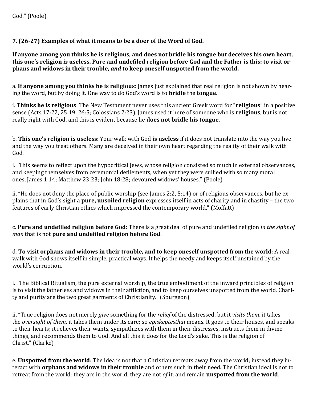**7. (26-27) Examples of what it means to be a doer of the Word of God.**

**If anyone among you thinks he is religious, and does not bridle his tongue but deceives his own heart, this one's religion** *is* **useless. Pure and undefiled religion before God and the Father is this: to visit orphans and widows in their trouble,** *and* **to keep oneself unspotted from the world.**

a. **If anyone among you thinks he is religious**: James just explained that real religion is not shown by hearing the word, but by doing it. One way to do God's word is to **bridle** the **tongue**.

i. **Thinks he is religious**: The New Testament never uses this ancient Greek word for "**religious**" in a positive sense [\(Acts 17:22,](https://biblia.com/bible/nkjv/Acts%2017.22) [25:19,](https://biblia.com/bible/nkjv/Acts%2025.19) [26:5;](https://biblia.com/bible/nkjv/Acts%2026.5) [Colossians 2:23\)](https://biblia.com/bible/nkjv/Col%202.23). James used it here of someone who is **religious**, but is not really right with God, and this is evident because he **does not bridle his tongue**.

b. **This one's religion is useless**: Your walk with God **is useless** if it does not translate into the way you live and the way you treat others. Many are deceived in their own heart regarding the reality of their walk with God.

i. "This seems to reflect upon the hypocritical Jews, whose religion consisted so much in external observances, and keeping themselves from ceremonial defilements, when yet they were sullied with so many moral ones, [James 1:14;](https://biblia.com/bible/nkjv/James%201.14) [Matthew 23:23;](https://biblia.com/bible/nkjv/Matt%2023.23) [John 18:28;](https://biblia.com/bible/nkjv/John%2018.28) devoured widows' houses." (Poole)

ii. "He does not deny the place of public worship (see <u>James 2:2</u>,  $5:14$ ) or of religious observances, but he explains that in God's sight a **pure, unsoiled religion** expresses itself in acts of charity and in chastity – the two features of early Christian ethics which impressed the contemporary world." (Moffatt)

c. **Pure and undefiled religion before God**: There is a great deal of pure and undefiled religion *in the sight of man* that is not **pure and undefiled religion before God**.

d. **To visit orphans and widows in their trouble, and to keep oneself unspotted from the world**: A real walk with God shows itself in simple, practical ways. It helps the needy and keeps itself unstained by the world's corruption.

i. "The Biblical Ritualism, the pure external worship, the true embodiment of the inward principles of religion is to visit the fatherless and widows in their affliction, and to keep ourselves unspotted from the world. Charity and purity are the two great garments of Christianity." (Spurgeon)

ii. "True religion does not merely *give* something for the *relief* of the distressed, but it *visits them*, it takes the *oversight of them*, it takes them under its care; so *episkeptesthai* means. It goes to their houses, and speaks to their hearts; it relieves their wants, sympathizes with them in their distresses, instructs them in divine things, and recommends them to God. And all this it does for the Lord's sake. This is the religion of Christ." (Clarke)

e. **Unspotted from the world**: The idea is not that a Christian retreats away from the world; instead they interact with **orphans and widows in their trouble** and others such in their need. The Christian ideal is not to retreat from the world; they are in the world, they are not *of* it; and remain **unspotted from the world**.